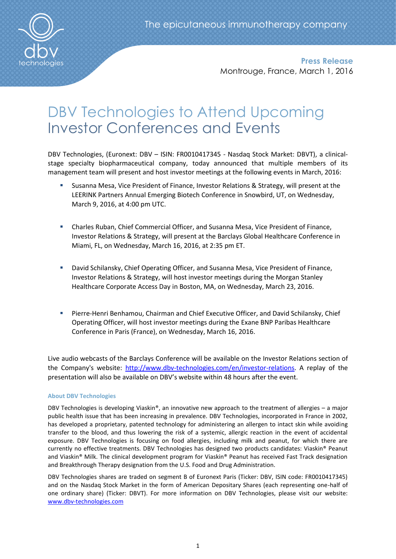

**Press Release** Montrouge, France, March 1, 2016

# DBV Technologies to Attend Upcoming Investor Conferences and Events

DBV Technologies, (Euronext: DBV – ISIN: FR0010417345 - Nasdaq Stock Market: DBVT), a clinicalstage specialty biopharmaceutical company, today announced that multiple members of its management team will present and host investor meetings at the following events in March, 2016:

- Susanna Mesa, Vice President of Finance, Investor Relations & Strategy, will present at the LEERINK Partners Annual Emerging Biotech Conference in Snowbird, UT, on Wednesday, March 9, 2016, at 4:00 pm UTC.
- Charles Ruban, Chief Commercial Officer, and Susanna Mesa, Vice President of Finance, Investor Relations & Strategy, will present at the Barclays Global Healthcare Conference in Miami, FL, on Wednesday, March 16, 2016, at 2:35 pm ET.
- David Schilansky, Chief Operating Officer, and Susanna Mesa, Vice President of Finance, Investor Relations & Strategy, will host investor meetings during the Morgan Stanley Healthcare Corporate Access Day in Boston, MA, on Wednesday, March 23, 2016.
- Pierre-Henri Benhamou, Chairman and Chief Executive Officer, and David Schilansky, Chief Operating Officer, will host investor meetings during the Exane BNP Paribas Healthcare Conference in Paris (France), on Wednesday, March 16, 2016.

Live audio webcasts of the Barclays Conference will be available on the Investor Relations section of the Company's website: [http://www.dbv-technologies.com/en/investor-relations.](http://www.dbv-technologies.com/en/investor-relations) A replay of the presentation will also be available on DBV's website within 48 hours after the event.

## **About DBV Technologies**

DBV Technologies is developing Viaskin®, an innovative new approach to the treatment of allergies – a major public health issue that has been increasing in prevalence. DBV Technologies, incorporated in France in 2002, has developed a proprietary, patented technology for administering an allergen to intact skin while avoiding transfer to the blood, and thus lowering the risk of a systemic, allergic reaction in the event of accidental exposure. DBV Technologies is focusing on food allergies, including milk and peanut, for which there are currently no effective treatments. DBV Technologies has designed two products candidates: Viaskin® Peanut and Viaskin® Milk. The clinical development program for Viaskin® Peanut has received Fast Track designation and Breakthrough Therapy designation from the U.S. Food and Drug Administration.

DBV Technologies shares are traded on segment B of Euronext Paris (Ticker: DBV, ISIN code: FR0010417345) and on the Nasdaq Stock Market in the form of American Depositary Shares (each representing one-half of one ordinary share) (Ticker: DBVT). For more information on DBV Technologies, please visit our website: [www.dbv-technologies.com](http://www.dbv-technologies.com/)